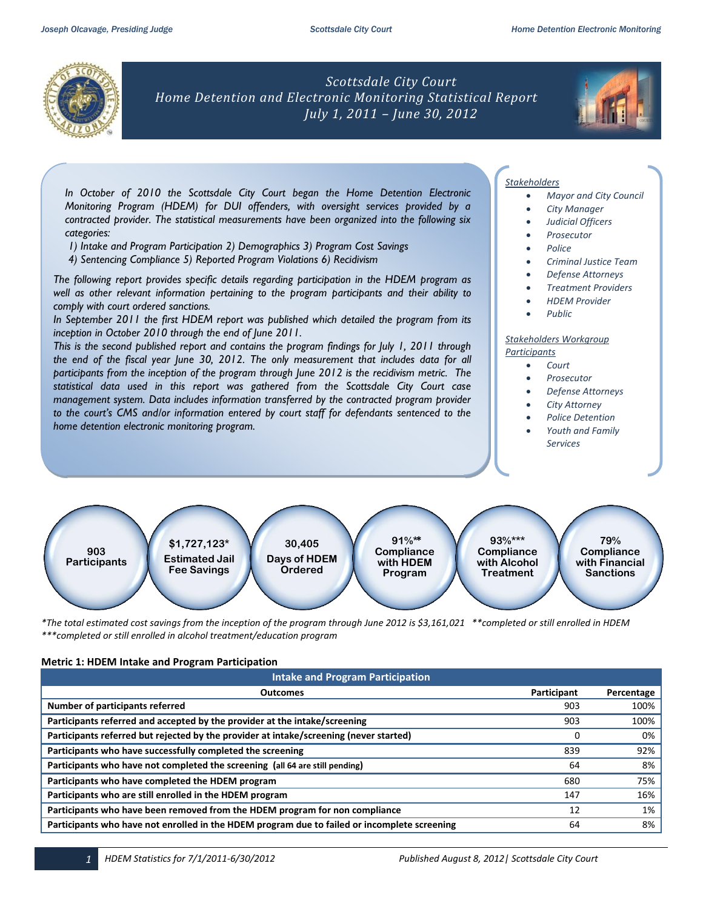

*Scottsdale City Court Home Detention and Electronic Monitoring Statistical Report July 1, 2011 – June 30, 2012*



*In October of 2010 the Scottsdale City Court began the Home Detention Electronic Monitoring Program (HDEM) for DUI offenders, with oversight services provided by a contracted provider. The statistical measurements have been organized into the following six categories:* 

- *1) Intake and Program Participation 2) Demographics 3) Program Cost Savings*
- *4) Sentencing Compliance 5) Reported Program Violations 6) Recidivism*

*The following report provides specific details regarding participation in the HDEM program as well as other relevant information pertaining to the program participants and their ability to comply with court ordered sanctions.* 

*In September 2011 the first HDEM report was published which detailed the program from its inception in October 2010 through the end of June 2011.* 

*This is the second published report and contains the program findings for July 1, 2011 through the end of the fiscal year June 30, 2012. The only measurement that includes data for all participants from the inception of the program through June 2012 is the recidivism metric. The statistical data used in this report was gathered from the Scottsdale City Court case management system. Data includes information transferred by the contracted program provider to the court's CMS and/or information entered by court staff for defendants sentenced to the home detention electronic monitoring program.* 

## *Stakeholders*

- *Mayor and City Council*
- *City Manager*
- *Judicial Officers*
- *Prosecutor*
- *Police*
- 
- *Criminal Justice Team*
- *Defense Attorneys*
- *Treatment Providers*
- *HDEM Provider*
- *Public*

### *Stakeholders Workgroup Participants*

- *Court*
	- *Prosecutor*
	- *Defense Attorneys*
- *City Attorney*
- *Police Detention*
- *Youth and Family Services*



*\*The total estimated cost savings from the inception of the program through June 2012 is \$3,161,021 \*\*completed or still enrolled in HDEM \*\*\*completed or still enrolled in alcohol treatment/education program*

### **Metric 1: HDEM Intake and Program Participation**

| <b>Intake and Program Participation</b>                                                      |             |            |  |  |  |  |  |
|----------------------------------------------------------------------------------------------|-------------|------------|--|--|--|--|--|
| <b>Outcomes</b>                                                                              | Participant | Percentage |  |  |  |  |  |
| Number of participants referred                                                              | 903         | 100%       |  |  |  |  |  |
| Participants referred and accepted by the provider at the intake/screening                   | 903         | 100%       |  |  |  |  |  |
| Participants referred but rejected by the provider at intake/screening (never started)       | $\Omega$    | 0%         |  |  |  |  |  |
| Participants who have successfully completed the screening                                   | 839         | 92%        |  |  |  |  |  |
| Participants who have not completed the screening (all 64 are still pending)                 | 64          | 8%         |  |  |  |  |  |
| Participants who have completed the HDEM program                                             | 680         | 75%        |  |  |  |  |  |
| Participants who are still enrolled in the HDEM program                                      | 147         | 16%        |  |  |  |  |  |
| Participants who have been removed from the HDEM program for non compliance                  | 12          | 1%         |  |  |  |  |  |
| Participants who have not enrolled in the HDEM program due to failed or incomplete screening | 64          | 8%         |  |  |  |  |  |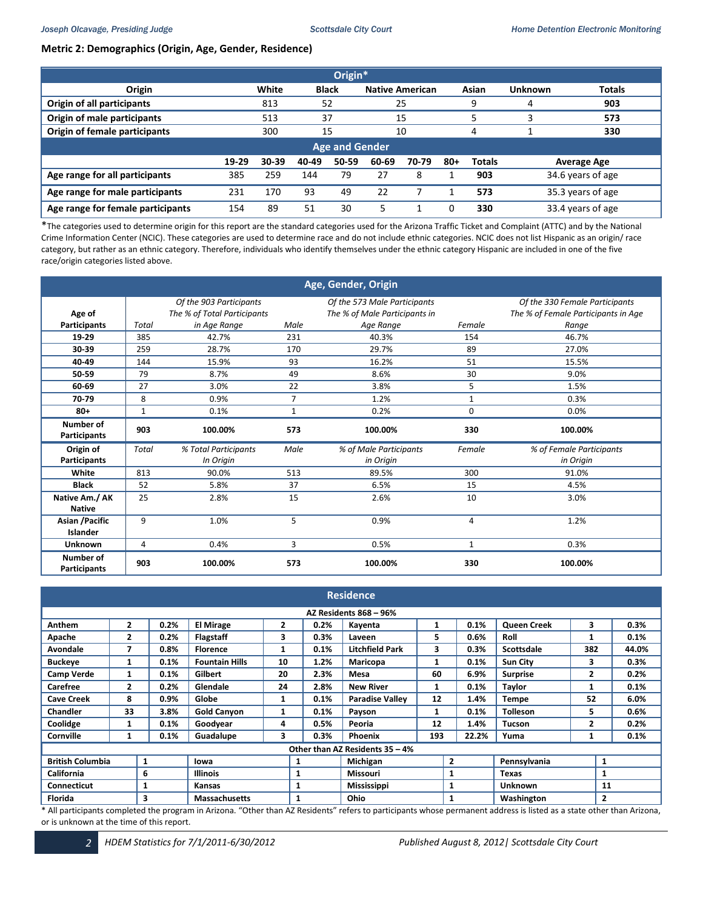# **Metric 2: Demographics (Origin, Age, Gender, Residence)**

| Origin*                           |                                                                                                    |       |              |    |    |                        |  |       |                   |               |  |
|-----------------------------------|----------------------------------------------------------------------------------------------------|-------|--------------|----|----|------------------------|--|-------|-------------------|---------------|--|
| Origin                            |                                                                                                    | White | <b>Black</b> |    |    | <b>Native American</b> |  | Asian | <b>Unknown</b>    | <b>Totals</b> |  |
| Origin of all participants        |                                                                                                    | 813   | 52           |    |    | 25                     |  | 9     | 4                 | 903           |  |
| Origin of male participants       |                                                                                                    | 513   | 37           |    |    | 15                     |  |       |                   | 573           |  |
| Origin of female participants     |                                                                                                    | 300   | 15           |    |    | 10                     |  | 4     |                   | 330           |  |
| <b>Age and Gender</b>             |                                                                                                    |       |              |    |    |                        |  |       |                   |               |  |
|                                   | 19-29<br>30-39<br>60-69<br>70-79<br>50-59<br>$80+$<br><b>Totals</b><br>40-49<br><b>Average Age</b> |       |              |    |    |                        |  |       |                   |               |  |
| Age range for all participants    | 385                                                                                                | 259   | 144          | 79 | 27 | 8                      |  | 903   | 34.6 years of age |               |  |
| Age range for male participants   | 231                                                                                                | 170   | 93           | 49 | 22 |                        |  | 573   | 35.3 years of age |               |  |
| Age range for female participants | 154                                                                                                | 89    | 51           | 30 | 5  |                        |  | 330   | 33.4 years of age |               |  |

\*The categories used to determine origin for this report are the standard categories used for the Arizona Traffic Ticket and Complaint (ATTC) and by the National Crime Information Center (NCIC). These categories are used to determine race and do not include ethnic categories. NCIC does not list Hispanic as an origin/ race category, but rather as an ethnic category. Therefore, individuals who identify themselves under the ethnic category Hispanic are included in one of the five race/origin categories listed above.

| Age, Gender, Origin              |                                                                                           |                             |                |                               |        |                                     |  |  |
|----------------------------------|-------------------------------------------------------------------------------------------|-----------------------------|----------------|-------------------------------|--------|-------------------------------------|--|--|
|                                  | Of the 903 Participants<br>Of the 330 Female Participants<br>Of the 573 Male Participants |                             |                |                               |        |                                     |  |  |
| Age of                           |                                                                                           | The % of Total Participants |                | The % of Male Participants in |        | The % of Female Participants in Age |  |  |
| <b>Participants</b>              | Total                                                                                     | in Age Range                | Male           | Age Range                     | Female | Range                               |  |  |
| 19-29                            | 385                                                                                       | 42.7%                       | 231            | 40.3%                         | 154    | 46.7%                               |  |  |
| 30-39                            | 259                                                                                       | 28.7%                       | 170            | 29.7%                         | 89     | 27.0%                               |  |  |
| 40-49                            | 144                                                                                       | 15.9%                       | 93             | 16.2%                         | 51     | 15.5%                               |  |  |
| 50-59                            | 79                                                                                        | 8.7%                        | 49             | 8.6%                          | 30     | 9.0%                                |  |  |
| 60-69                            | 27                                                                                        | 3.0%                        | 22             | 3.8%                          | 5      | 1.5%                                |  |  |
| 70 79                            | 8                                                                                         | 0.9%                        | $\overline{7}$ | 1.2%                          | 1      | 0.3%                                |  |  |
| $80+$                            | $\mathbf{1}$                                                                              | 0.1%                        | $\mathbf{1}$   | 0.2%                          | 0      | 0.0%                                |  |  |
| Number of<br><b>Participants</b> | 903                                                                                       | 100.00%                     | 573            | 100.00%                       | 330    | 100.00%                             |  |  |
| Origin of                        | <b>Total</b>                                                                              | % Total Participants        | Male           | % of Male Participants        | Female | % of Female Participants            |  |  |
| <b>Participants</b>              |                                                                                           | In Origin                   |                | in Origin                     |        | in Origin                           |  |  |
| White                            | 813                                                                                       | 90.0%                       | 513            | 89.5%                         | 300    | 91.0%                               |  |  |
| <b>Black</b>                     | 52                                                                                        | 5.8%                        | 37             | 6.5%                          | 15     | 4.5%                                |  |  |
| Native Am./ AK                   | 25                                                                                        | 2.8%                        | 15             | 2.6%                          | 10     | 3.0%                                |  |  |
| <b>Native</b>                    |                                                                                           |                             |                |                               |        |                                     |  |  |
| Asian / Pacific                  | 9                                                                                         | 1.0%                        | 5              | 0.9%                          | 4      | 1.2%                                |  |  |
| Islander                         |                                                                                           |                             |                |                               |        |                                     |  |  |
| <b>Unknown</b>                   | 4                                                                                         | 0.4%                        | 3              | 0.5%                          | 1      | 0.3%                                |  |  |
| Number of<br><b>Participants</b> | 903                                                                                       | 100.00%                     | 573            | 100.00%                       | 330    | 100.00%                             |  |  |

| <b>Residence</b>              |                |                        |                                                                                          |    |                             |                                 |                |       |                    |                |                |  |
|-------------------------------|----------------|------------------------|------------------------------------------------------------------------------------------|----|-----------------------------|---------------------------------|----------------|-------|--------------------|----------------|----------------|--|
| <b>AZ Residents 868 - 96%</b> |                |                        |                                                                                          |    |                             |                                 |                |       |                    |                |                |  |
| Anthem                        | $\overline{2}$ | 0.2%                   | <b>El Mirage</b>                                                                         | 2  | 0.2%                        | Kayenta                         | 1              | 0.1%  | <b>Queen Creek</b> | 3              | 0.3%           |  |
| Apache                        | $\overline{2}$ | 0.2%                   | <b>Flagstaff</b>                                                                         | 3  | 0.3%                        | Laveen                          | 5              | 0.6%  | Roll               |                | 0.1%           |  |
| Avondale                      | 7              | 0.8%                   | <b>Florence</b>                                                                          | 1  | 0.1%                        | <b>Litchfield Park</b>          | 3              | 0.3%  | <b>Scottsdale</b>  | 382            | 44.0%          |  |
| <b>Buckeye</b>                | 1              | 0.1%                   | <b>Fountain Hills</b>                                                                    | 10 | 1.2%                        | Maricopa                        | 1              | 0.1%  | Sun City           | 3              | 0.3%           |  |
| <b>Camp Verde</b>             | 1              | 0.1%                   | Gilbert                                                                                  | 20 | 2.3%                        | Mesa                            | 60             | 6.9%  | <b>Surprise</b>    | $\overline{2}$ | 0.2%           |  |
| Carefree                      | $\overline{2}$ | 0.2%                   | Glendale                                                                                 | 24 | 2.8%                        | <b>New River</b>                | 1              | 0.1%  | Taylor             | 1              | 0.1%           |  |
| <b>Cave Creek</b>             | 8              | 0.9%                   | Globe                                                                                    | 1  | 0.1%                        | <b>Paradise Valley</b>          | 12             | 1.4%  | Tempe              | 52             | 6.0%           |  |
| <b>Chandler</b>               | 33             | 3.8%                   | <b>Gold Canyon</b>                                                                       | 1  | 0.1%                        | Payson                          | 1              | 0.1%  | <b>Tolleson</b>    | 5              | 0.6%           |  |
| Coolidge                      | 1              | 0.1%                   | Goodyear                                                                                 | 4  | 0.5%                        | Peoria                          | 12             | 1.4%  | Tucson             | 2              | 0.2%           |  |
| Cornville                     | 1              | 0.1%                   | Guadalupe                                                                                | з  | 0.3%                        | <b>Phoenix</b>                  | 193            | 22.2% | Yuma               | 1              | 0.1%           |  |
|                               |                |                        |                                                                                          |    |                             | Other than AZ Residents 35 - 4% |                |       |                    |                |                |  |
| <b>British Columbia</b>       |                | 1                      | lowa                                                                                     | 1  |                             | Michigan                        | $\overline{2}$ |       | Pennsylvania       |                | 1              |  |
| <b>California</b>             |                | 6                      | <b>Illinois</b>                                                                          | 1  |                             | Missouri                        |                | 1     | Texas              |                | 1              |  |
| Connecticut                   |                | 1                      | Kansas                                                                                   |    | 1                           | <b>Mississippi</b>              |                | 1     | <b>Unknown</b>     |                | 11             |  |
| Florida                       |                | 3<br>$\cdots$ $\cdots$ | <b>Massachusetts</b><br>$\cdot$ $\cdot$ $\cdot$ $\cdot$<br>$\overline{u}$ $\overline{u}$ |    | 1<br>$\sim$ $  \sim$ $\sim$ | <b>Ohio</b><br>$\cdots$         |                | 1     | Washington<br>.    |                | $\overline{2}$ |  |

\* All participants completed the program in Arizona. "Other than AZ Residents" refers to participants whose permanent address is listed as a state other than Arizona, or is unknown at the time of this report.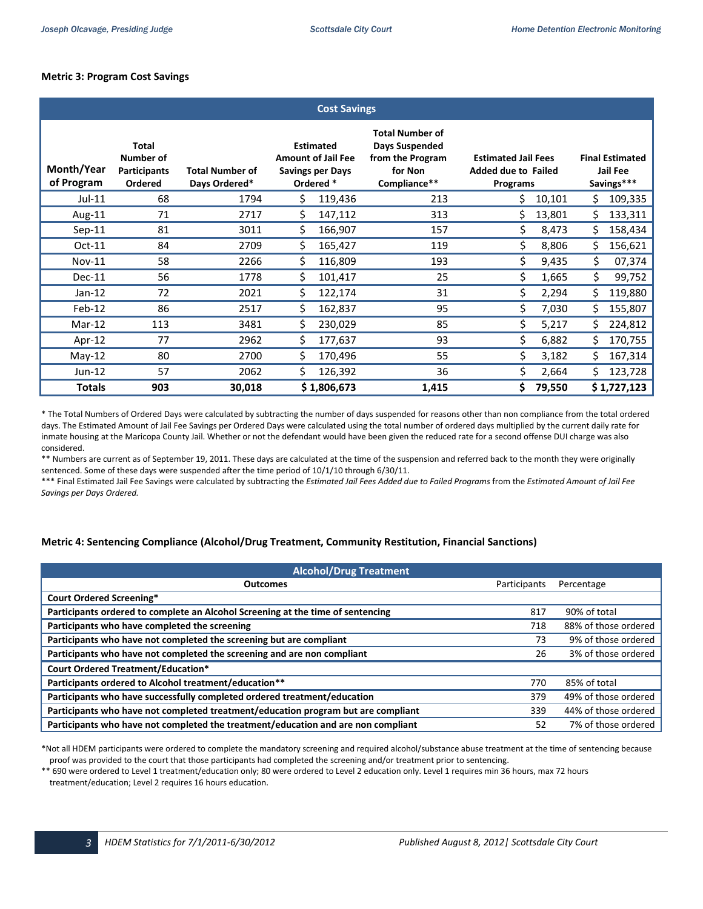## **Metric 3: Program Cost Savings**

| <b>Cost Savings</b>      |                                                             |                                         |     |                                                                                       |                                                                                         |                                                                      |                                                  |    |             |
|--------------------------|-------------------------------------------------------------|-----------------------------------------|-----|---------------------------------------------------------------------------------------|-----------------------------------------------------------------------------------------|----------------------------------------------------------------------|--------------------------------------------------|----|-------------|
| Month/Year<br>of Program | <b>Total</b><br>Number of<br><b>Participants</b><br>Ordered | <b>Total Number of</b><br>Days Ordered* |     | <b>Estimated</b><br><b>Amount of Jail Fee</b><br><b>Savings per Days</b><br>Ordered * | <b>Total Number of</b><br>Days Suspended<br>from the Program<br>for Non<br>Compliance** | <b>Estimated Jail Fees</b><br><b>Added due to Failed</b><br>Programs | <b>Final Estimated</b><br>Jail Fee<br>Savings*** |    |             |
| $Jul-11$                 | 68                                                          | 1794                                    | \$  | 119,436                                                                               | 213                                                                                     | Ś.                                                                   | 10,101                                           | Ś  | 109,335     |
| Aug-11                   | 71                                                          | 2717                                    | \$  | 147,112                                                                               | 313                                                                                     | Ś.                                                                   | 13,801                                           | \$ | 133,311     |
| $Sep-11$                 | 81                                                          | 3011                                    | Ś.  | 166,907                                                                               | 157                                                                                     | \$                                                                   | 8,473                                            | \$ | 158,434     |
| $Oct-11$                 | 84                                                          | 2709                                    | \$  | 165,427                                                                               | 119                                                                                     | \$.                                                                  | 8,806                                            | \$ | 156,621     |
| <b>Nov-11</b>            | 58                                                          | 2266                                    | \$  | 116,809                                                                               | 193                                                                                     | \$                                                                   | 9,435                                            | \$ | 07,374      |
| $Dec-11$                 | 56                                                          | 1778                                    | \$. | 101,417                                                                               | 25                                                                                      | \$                                                                   | 1,665                                            | \$ | 99,752      |
| $Jan-12$                 | 72                                                          | 2021                                    | \$  | 122,174                                                                               | 31                                                                                      | \$                                                                   | 2,294                                            | \$ | 119,880     |
| $Feb-12$                 | 86                                                          | 2517                                    | Ś.  | 162,837                                                                               | 95                                                                                      | Ś.                                                                   | 7,030                                            | \$ | 155,807     |
| $Mar-12$                 | 113                                                         | 3481                                    | \$  | 230,029                                                                               | 85                                                                                      | \$                                                                   | 5,217                                            | \$ | 224,812     |
| Apr-12                   | 77                                                          | 2962                                    | \$  | 177,637                                                                               | 93                                                                                      | \$                                                                   | 6,882                                            | Ś  | 170,755     |
| $May-12$                 | 80                                                          | 2700                                    | \$  | 170,496                                                                               | 55                                                                                      | \$                                                                   | 3,182                                            | \$ | 167,314     |
| $Jun-12$                 | 57                                                          | 2062                                    | Ś.  | 126,392                                                                               | 36                                                                                      | \$                                                                   | 2,664                                            | Ś  | 123,728     |
| <b>Totals</b>            | 903                                                         | 30,018                                  |     | \$1,806,673                                                                           | 1,415                                                                                   | \$.                                                                  | 79,550                                           |    | \$1,727,123 |

 \* The Total Numbers of Ordered Days were calculated by subtracting the number of days suspended for reasons other than non compliance from the total ordered days. The Estimated Amount of Jail Fee Savings per Ordered Days were calculated using the total number of ordered days multiplied by the current daily rate for inmate housing at the Maricopa County Jail. Whether or not the defendant would have been given the reduced rate for a second offense DUI charge was also considered.

 \*\* Numbers are current as of September 19, 2011. These days are calculated at the time of the suspension and referred back to the month they were originally sentenced. Some of these days were suspended after the time period of 10/1/10 through 6/30/11.

 \*\*\* Final Estimated Jail Fee Savings were calculated by subtracting the *Estimated Jail Fees Added due to Failed Programs* from the *Estimated Amount of Jail Fee Savings per Days Ordered.*

### **Metric 4: Sentencing Compliance (Alcohol/Drug Treatment, Community Restitution, Financial Sanctions)**

| <b>Alcohol/Drug Treatment</b>                                                     |              |                      |  |  |  |  |  |  |
|-----------------------------------------------------------------------------------|--------------|----------------------|--|--|--|--|--|--|
| <b>Outcomes</b>                                                                   | Participants | Percentage           |  |  |  |  |  |  |
| <b>Court Ordered Screening*</b>                                                   |              |                      |  |  |  |  |  |  |
| Participants ordered to complete an Alcohol Screening at the time of sentencing   | 817          | 90% of total         |  |  |  |  |  |  |
| Participants who have completed the screening                                     | 718          | 88% of those ordered |  |  |  |  |  |  |
| Participants who have not completed the screening but are compliant               | 73           | 9% of those ordered  |  |  |  |  |  |  |
| Participants who have not completed the screening and are non compliant           | 26           | 3% of those ordered  |  |  |  |  |  |  |
| <b>Court Ordered Treatment/Education*</b>                                         |              |                      |  |  |  |  |  |  |
| Participants ordered to Alcohol treatment/education**                             | 770          | 85% of total         |  |  |  |  |  |  |
| Participants who have successfully completed ordered treatment/education          | 379          | 49% of those ordered |  |  |  |  |  |  |
| Participants who have not completed treatment/education program but are compliant | 339          | 44% of those ordered |  |  |  |  |  |  |
| Participants who have not completed the treatment/education and are non compliant | 52           | 7% of those ordered  |  |  |  |  |  |  |

\*Not all HDEM participants were ordered to complete the mandatory screening and required alcohol/substance abuse treatment at the time of sentencing because proof was provided to the court that those participants had completed the screening and/or treatment prior to sentencing.

\*\* 690 were ordered to Level 1 treatment/education only; 80 were ordered to Level 2 education only. Level 1 requires min 36 hours, max 72 hours treatment/education; Level 2 requires 16 hours education.